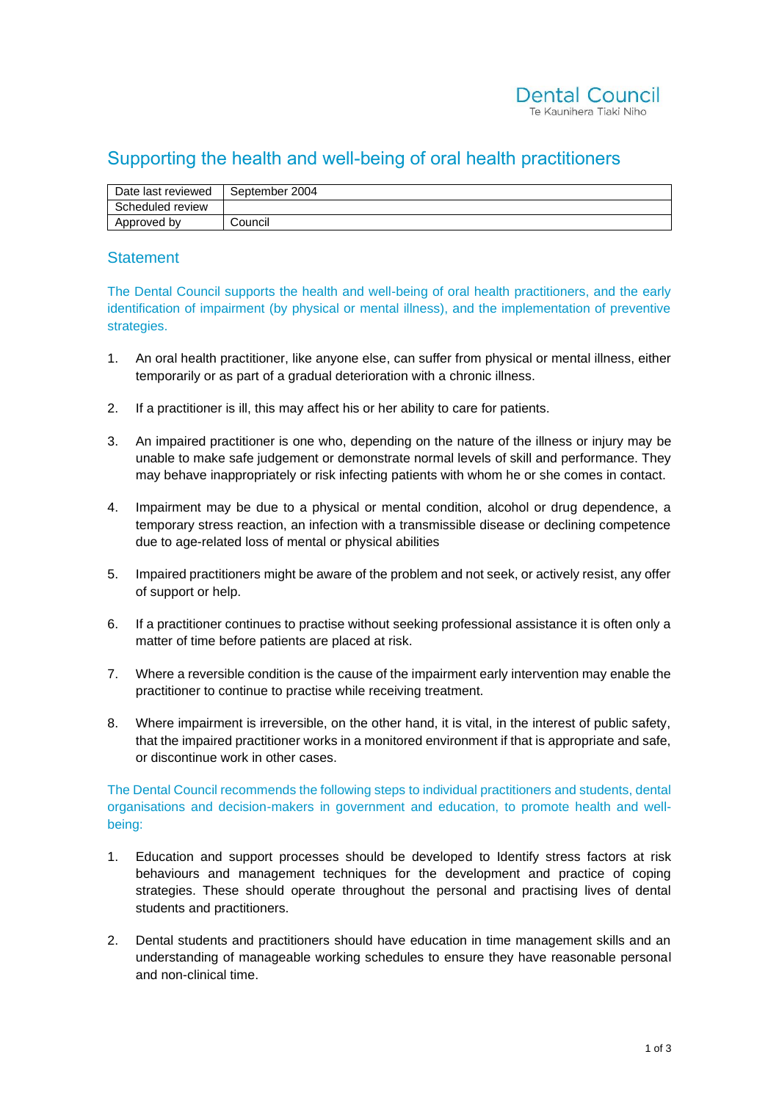## Supporting the health and well-being of oral health practitioners

| Date last reviewed | September 2004 |
|--------------------|----------------|
| Scheduled review   |                |
| Approved by        | Council        |

## **Statement**

The Dental Council supports the health and well-being of oral health practitioners, and the early identification of impairment (by physical or mental illness), and the implementation of preventive strategies.

- 1. An oral health practitioner, like anyone else, can suffer from physical or mental illness, either temporarily or as part of a gradual deterioration with a chronic illness.
- 2. If a practitioner is ill, this may affect his or her ability to care for patients.
- 3. An impaired practitioner is one who, depending on the nature of the illness or injury may be unable to make safe judgement or demonstrate normal levels of skill and performance. They may behave inappropriately or risk infecting patients with whom he or she comes in contact.
- 4. Impairment may be due to a physical or mental condition, alcohol or drug dependence, a temporary stress reaction, an infection with a transmissible disease or declining competence due to age-related loss of mental or physical abilities
- 5. Impaired practitioners might be aware of the problem and not seek, or actively resist, any offer of support or help.
- 6. If a practitioner continues to practise without seeking professional assistance it is often only a matter of time before patients are placed at risk.
- 7. Where a reversible condition is the cause of the impairment early intervention may enable the practitioner to continue to practise while receiving treatment.
- 8. Where impairment is irreversible, on the other hand, it is vital, in the interest of public safety, that the impaired practitioner works in a monitored environment if that is appropriate and safe, or discontinue work in other cases.

The Dental Council recommends the following steps to individual practitioners and students, dental organisations and decision-makers in government and education, to promote health and wellbeing:

- 1. Education and support processes should be developed to Identify stress factors at risk behaviours and management techniques for the development and practice of coping strategies. These should operate throughout the personal and practising lives of dental students and practitioners.
- 2. Dental students and practitioners should have education in time management skills and an understanding of manageable working schedules to ensure they have reasonable personal and non-clinical time.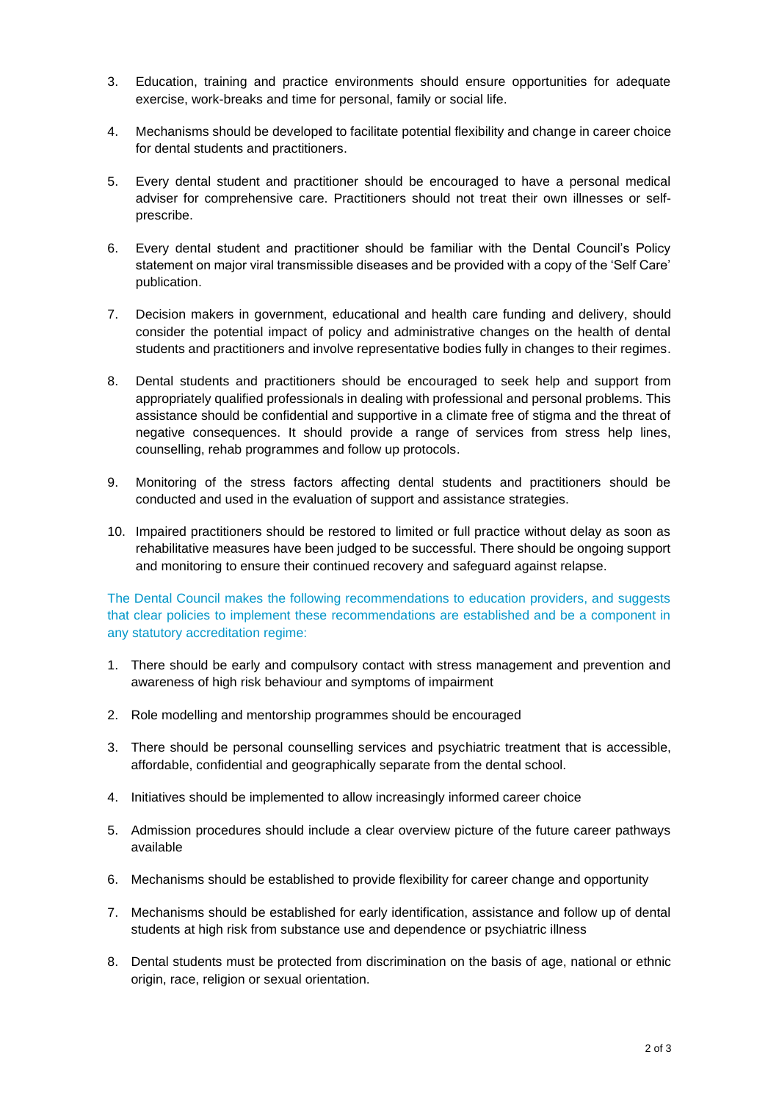- 3. Education, training and practice environments should ensure opportunities for adequate exercise, work-breaks and time for personal, family or social life.
- 4. Mechanisms should be developed to facilitate potential flexibility and change in career choice for dental students and practitioners.
- 5. Every dental student and practitioner should be encouraged to have a personal medical adviser for comprehensive care. Practitioners should not treat their own illnesses or selfprescribe.
- 6. Every dental student and practitioner should be familiar with the Dental Council's Policy statement on major viral transmissible diseases and be provided with a copy of the 'Self Care' publication.
- 7. Decision makers in government, educational and health care funding and delivery, should consider the potential impact of policy and administrative changes on the health of dental students and practitioners and involve representative bodies fully in changes to their regimes.
- 8. Dental students and practitioners should be encouraged to seek help and support from appropriately qualified professionals in dealing with professional and personal problems. This assistance should be confidential and supportive in a climate free of stigma and the threat of negative consequences. It should provide a range of services from stress help lines, counselling, rehab programmes and follow up protocols.
- 9. Monitoring of the stress factors affecting dental students and practitioners should be conducted and used in the evaluation of support and assistance strategies.
- 10. Impaired practitioners should be restored to limited or full practice without delay as soon as rehabilitative measures have been judged to be successful. There should be ongoing support and monitoring to ensure their continued recovery and safeguard against relapse.

The Dental Council makes the following recommendations to education providers, and suggests that clear policies to implement these recommendations are established and be a component in any statutory accreditation regime:

- 1. There should be early and compulsory contact with stress management and prevention and awareness of high risk behaviour and symptoms of impairment
- 2. Role modelling and mentorship programmes should be encouraged
- 3. There should be personal counselling services and psychiatric treatment that is accessible, affordable, confidential and geographically separate from the dental school.
- 4. Initiatives should be implemented to allow increasingly informed career choice
- 5. Admission procedures should include a clear overview picture of the future career pathways available
- 6. Mechanisms should be established to provide flexibility for career change and opportunity
- 7. Mechanisms should be established for early identification, assistance and follow up of dental students at high risk from substance use and dependence or psychiatric illness
- 8. Dental students must be protected from discrimination on the basis of age, national or ethnic origin, race, religion or sexual orientation.